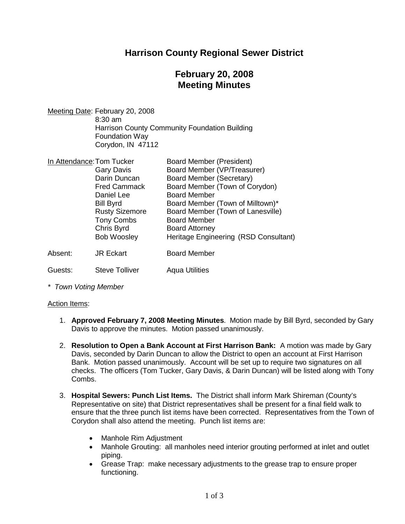# **Harrison County Regional Sewer District**

# **February 20, 2008 Meeting Minutes**

Meeting Date: February 20, 2008 8:30 am Harrison County Community Foundation Building Foundation Way Corydon, IN 47112

| In Attendance: Tom Tucker |                       | <b>Board Member (President)</b>       |
|---------------------------|-----------------------|---------------------------------------|
|                           | <b>Gary Davis</b>     | Board Member (VP/Treasurer)           |
|                           | Darin Duncan          | Board Member (Secretary)              |
|                           | <b>Fred Cammack</b>   | Board Member (Town of Corydon)        |
|                           | Daniel Lee            | <b>Board Member</b>                   |
|                           | <b>Bill Byrd</b>      | Board Member (Town of Milltown)*      |
|                           | <b>Rusty Sizemore</b> | Board Member (Town of Lanesville)     |
|                           | <b>Tony Combs</b>     | <b>Board Member</b>                   |
|                           | Chris Byrd            | <b>Board Attorney</b>                 |
|                           | <b>Bob Woosley</b>    | Heritage Engineering (RSD Consultant) |
| Absent:                   | <b>JR Eckart</b>      | <b>Board Member</b>                   |
| Guests:                   | <b>Steve Tolliver</b> | <b>Agua Utilities</b>                 |

*\* Town Voting Member*

### Action Items:

- 1. **Approved February 7, 2008 Meeting Minutes**. Motion made by Bill Byrd, seconded by Gary Davis to approve the minutes. Motion passed unanimously.
- 2. **Resolution to Open a Bank Account at First Harrison Bank:** A motion was made by Gary Davis, seconded by Darin Duncan to allow the District to open an account at First Harrison Bank. Motion passed unanimously. Account will be set up to require two signatures on all checks. The officers (Tom Tucker, Gary Davis, & Darin Duncan) will be listed along with Tony Combs.
- 3. **Hospital Sewers: Punch List Items.** The District shall inform Mark Shireman (County's Representative on site) that District representatives shall be present for a final field walk to ensure that the three punch list items have been corrected. Representatives from the Town of Corydon shall also attend the meeting. Punch list items are:
	- Manhole Rim Adjustment
	- Manhole Grouting: all manholes need interior grouting performed at inlet and outlet piping.
	- Grease Trap: make necessary adjustments to the grease trap to ensure proper functioning.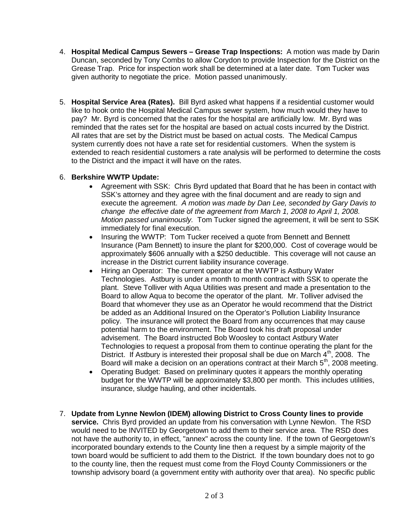- 4. **Hospital Medical Campus Sewers Grease Trap Inspections:** A motion was made by Darin Duncan, seconded by Tony Combs to allow Corydon to provide Inspection for the District on the Grease Trap. Price for inspection work shall be determined at a later date. Tom Tucker was given authority to negotiate the price. Motion passed unanimously.
- 5. **Hospital Service Area (Rates).** Bill Byrd asked what happens if a residential customer would like to hook onto the Hospital Medical Campus sewer system, how much would they have to pay? Mr. Byrd is concerned that the rates for the hospital are artificially low. Mr. Byrd was reminded that the rates set for the hospital are based on actual costs incurred by the District. All rates that are set by the District must be based on actual costs. The Medical Campus system currently does not have a rate set for residential customers. When the system is extended to reach residential customers a rate analysis will be performed to determine the costs to the District and the impact it will have on the rates.

## 6. **Berkshire WWTP Update:**

- Agreement with SSK: Chris Byrd updated that Board that he has been in contact with SSK's attorney and they agree with the final document and are ready to sign and execute the agreement. *A motion was made by Dan Lee, seconded by Gary Davis to change the effective date of the agreement from March 1, 2008 to April 1, 2008. Motion passed unanimously.* Tom Tucker signed the agreement, it will be sent to SSK immediately for final execution.
- Insuring the WWTP: Tom Tucker received a quote from Bennett and Bennett Insurance (Pam Bennett) to insure the plant for \$200,000. Cost of coverage would be approximately \$606 annually with a \$250 deductible. This coverage will not cause an increase in the District current liability insurance coverage.
- Hiring an Operator: The current operator at the WWTP is Astbury Water Technologies. Astbury is under a month to month contract with SSK to operate the plant. Steve Tolliver with Aqua Utilities was present and made a presentation to the Board to allow Aqua to become the operator of the plant. Mr. Tolliver advised the Board that whomever they use as an Operator he would recommend that the District be added as an Additional Insured on the Operator's Pollution Liability Insurance policy. The insurance will protect the Board from any occurrences that may cause potential harm to the environment. The Board took his draft proposal under advisement. The Board instructed Bob Woosley to contact Astbury Water Technologies to request a proposal from them to continue operating the plant for the District. If Astbury is interested their proposal shall be due on March  $4<sup>th</sup>$ , 2008. The Board will make a decision on an operations contract at their March  $5<sup>th</sup>$ , 2008 meeting.
- Operating Budget: Based on preliminary quotes it appears the monthly operating budget for the WWTP will be approximately \$3,800 per month. This includes utilities, insurance, sludge hauling, and other incidentals.
- 7. **Update from Lynne Newlon (IDEM) allowing District to Cross County lines to provide service.** Chris Byrd provided an update from his conversation with Lynne Newlon. The RSD would need to be INVITED by Georgetown to add them to their service area. The RSD does not have the authority to, in effect, "annex" across the county line. If the town of Georgetown's incorporated boundary extends to the County line then a request by a simple majority of the town board would be sufficient to add them to the District. If the town boundary does not to go to the county line, then the request must come from the Floyd County Commissioners or the township advisory board (a government entity with authority over that area). No specific public